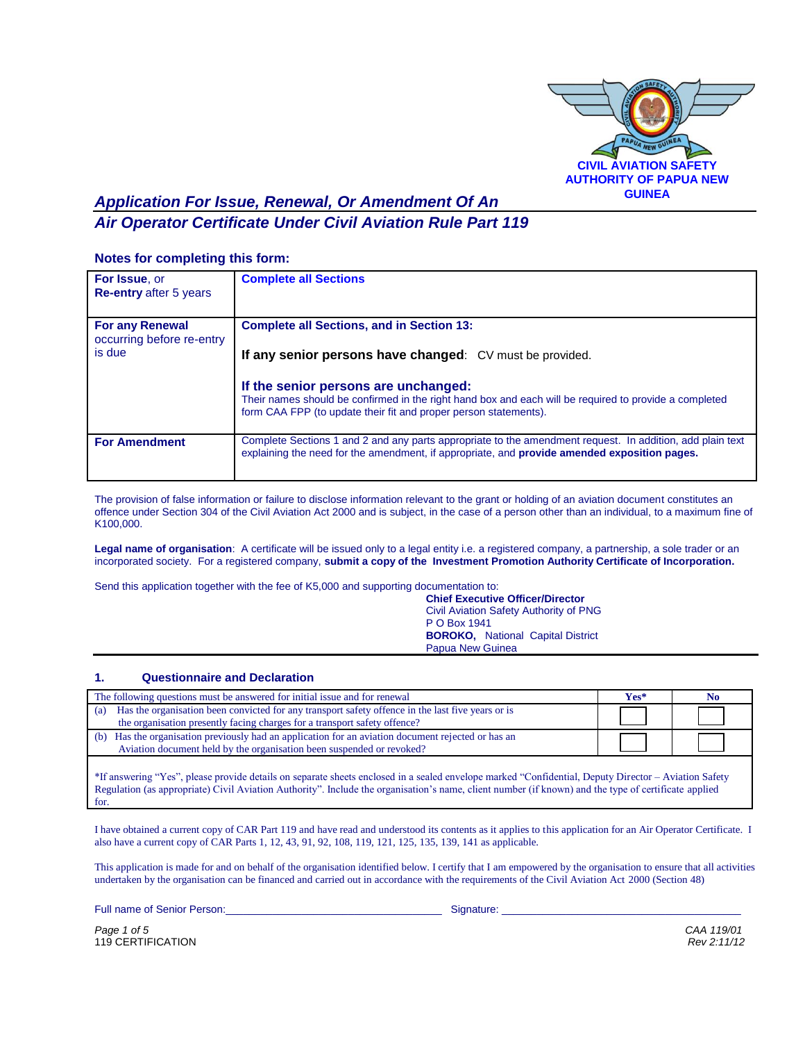

# *Application For Issue, Renewal, Or Amendment Of An Air Operator Certificate Under Civil Aviation Rule Part 119*

#### **Notes for completing this form:**

| <b>For Issue, or</b><br><b>Re-entry after 5 years</b> | <b>Complete all Sections</b>                                                                                                                                                                                       |
|-------------------------------------------------------|--------------------------------------------------------------------------------------------------------------------------------------------------------------------------------------------------------------------|
| <b>For any Renewal</b><br>occurring before re-entry   | <b>Complete all Sections, and in Section 13:</b>                                                                                                                                                                   |
| is due                                                | If any senior persons have changed: CV must be provided.                                                                                                                                                           |
|                                                       | If the senior persons are unchanged:<br>Their names should be confirmed in the right hand box and each will be required to provide a completed<br>form CAA FPP (to update their fit and proper person statements). |
| <b>For Amendment</b>                                  | Complete Sections 1 and 2 and any parts appropriate to the amendment request. In addition, add plain text<br>explaining the need for the amendment, if appropriate, and <b>provide amended exposition pages.</b>   |

The provision of false information or failure to disclose information relevant to the grant or holding of an aviation document constitutes an offence under Section 304 of the Civil Aviation Act 2000 and is subject, in the case of a person other than an individual, to a maximum fine of K100,000.

Legal name of organisation: A certificate will be issued only to a legal entity i.e. a registered company, a partnership, a sole trader or an incorporated society. For a registered company, **submit a copy of the Investment Promotion Authority Certificate of Incorporation.**

Send this application together with the fee of K5,000 and supporting documentation to:

**Chief Executive Officer/Director** Civil Aviation Safety Authority of PNG P O Box 1941 **BOROKO,** National Capital District Papua New Guinea

#### **1. Questionnaire and Declaration**

| Has the organisation been convicted for any transport safety offence in the last five years or is<br>(a)<br>the organisation presently facing charges for a transport safety offence?<br>(b) Has the organisation previously had an application for an aviation document rejected or has an<br>Aviation document held by the organisation been suspended or revoked? | The following questions must be answered for initial issue and for renewal | Yes* | No |
|----------------------------------------------------------------------------------------------------------------------------------------------------------------------------------------------------------------------------------------------------------------------------------------------------------------------------------------------------------------------|----------------------------------------------------------------------------|------|----|
|                                                                                                                                                                                                                                                                                                                                                                      |                                                                            |      |    |
|                                                                                                                                                                                                                                                                                                                                                                      |                                                                            |      |    |
|                                                                                                                                                                                                                                                                                                                                                                      |                                                                            |      |    |

\*If answering "Yes", please provide details on separate sheets enclosed in a sealed envelope marked "Confidential, Deputy Director – Aviation Safety Regulation (as appropriate) Civil Aviation Authority". Include the organisation's name, client number (if known) and the type of certificate applied for.

I have obtained a current copy of CAR Part 119 and have read and understood its contents as it applies to this application for an Air Operator Certificate. I also have a current copy of CAR Parts 1, 12, 43, 91, 92, 108, 119, 121, 125, 135, 139, 141 as applicable.

This application is made for and on behalf of the organisation identified below. I certify that I am empowered by the organisation to ensure that all activities undertaken by the organisation can be financed and carried out in accordance with the requirements of the Civil Aviation Act 2000 (Section 48)

Full name of Senior Person:\_\_\_\_\_\_\_\_\_\_\_\_\_\_\_\_\_\_\_\_\_\_\_\_\_\_\_\_\_\_\_\_\_\_\_\_\_ Signature: \_\_\_\_\_\_\_\_\_\_\_\_\_\_\_\_\_\_\_\_\_\_\_\_\_\_\_\_\_\_\_\_\_\_\_\_\_\_\_\_\_

*Page 1 of 5 CAA 119/01* 119 CERTIFICATION *Rev 2:11/12*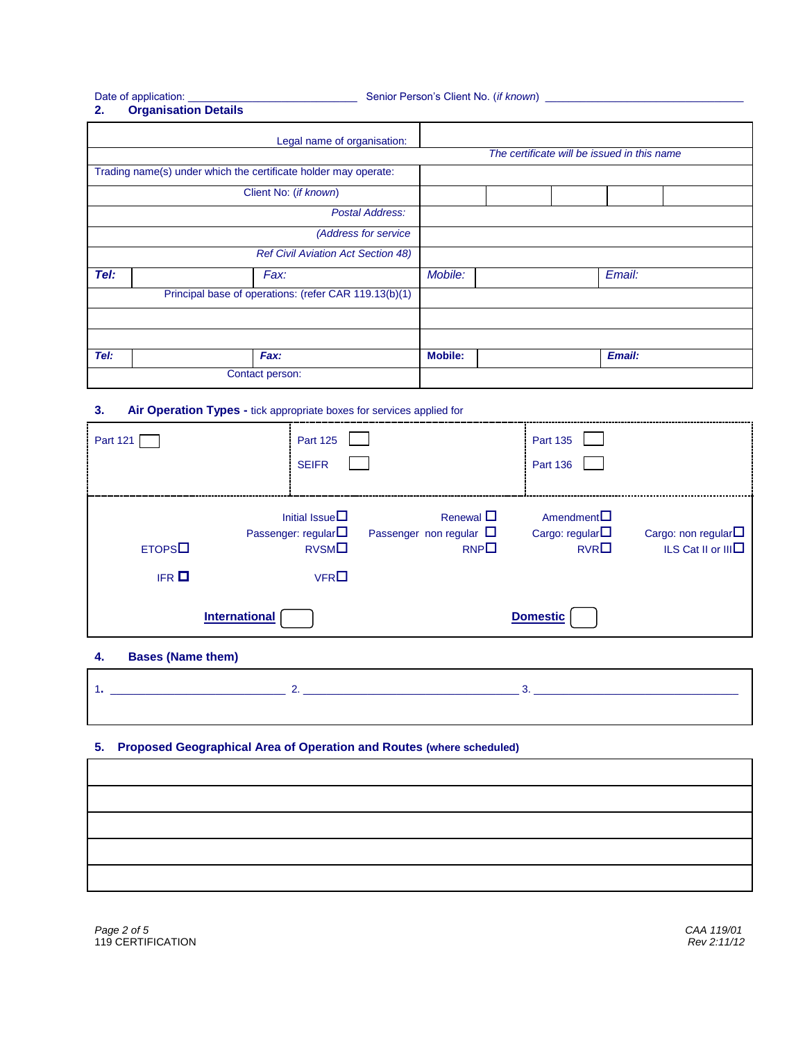Date of application: \_\_\_\_\_\_\_\_\_\_\_\_\_\_\_\_\_\_\_\_\_\_\_\_\_\_\_\_\_ Senior Person's Client No. (*if known*) \_\_\_\_\_\_\_\_\_\_\_\_\_\_\_\_\_\_\_\_\_\_\_\_\_\_\_\_\_\_\_\_\_\_

# **2. Organisation Details**

|      | Legal name of organisation:                                     |                |                                             |        |  |
|------|-----------------------------------------------------------------|----------------|---------------------------------------------|--------|--|
|      |                                                                 |                | The certificate will be issued in this name |        |  |
|      | Trading name(s) under which the certificate holder may operate: |                |                                             |        |  |
|      | Client No: (if known)                                           |                |                                             |        |  |
|      | Postal Address:                                                 |                |                                             |        |  |
|      | (Address for service                                            |                |                                             |        |  |
|      | <b>Ref Civil Aviation Act Section 48)</b>                       |                |                                             |        |  |
| Tel: | Fax:                                                            | Mobile:        |                                             | Email: |  |
|      | Principal base of operations: (refer CAR 119.13(b)(1)           |                |                                             |        |  |
|      |                                                                 |                |                                             |        |  |
|      |                                                                 |                |                                             |        |  |
| Tel: | Fax:                                                            | <b>Mobile:</b> |                                             | Email: |  |
|      | Contact person:                                                 |                |                                             |        |  |

#### **3. Air Operation Types -** tick appropriate boxes for services applied for

| <b>Part 121</b>     | <b>Part 125</b><br><b>SEIFR</b>          |                                                                                                    | <b>Part 135</b><br><b>Part 136</b>                     |                                                                |
|---------------------|------------------------------------------|----------------------------------------------------------------------------------------------------|--------------------------------------------------------|----------------------------------------------------------------|
| ETOPS<br><b>IFR</b> | Initial Issue $\square$<br>RVSMO<br>VFRO | Renewal $\Box$<br>Passenger: regular $\square$ Passenger non regular $\square$<br>RNP <sup>2</sup> | $A$ mendment $\square$<br>Cargo: regular $\Box$<br>RVR | Cargo: non regular $\square$<br>ILS Cat II or III <sup>I</sup> |
|                     | <b>International</b>                     |                                                                                                    | <b>Domestic</b>                                        |                                                                |

## **4. Bases (Name them)**

## **5. Proposed Geographical Area of Operation and Routes (where scheduled)**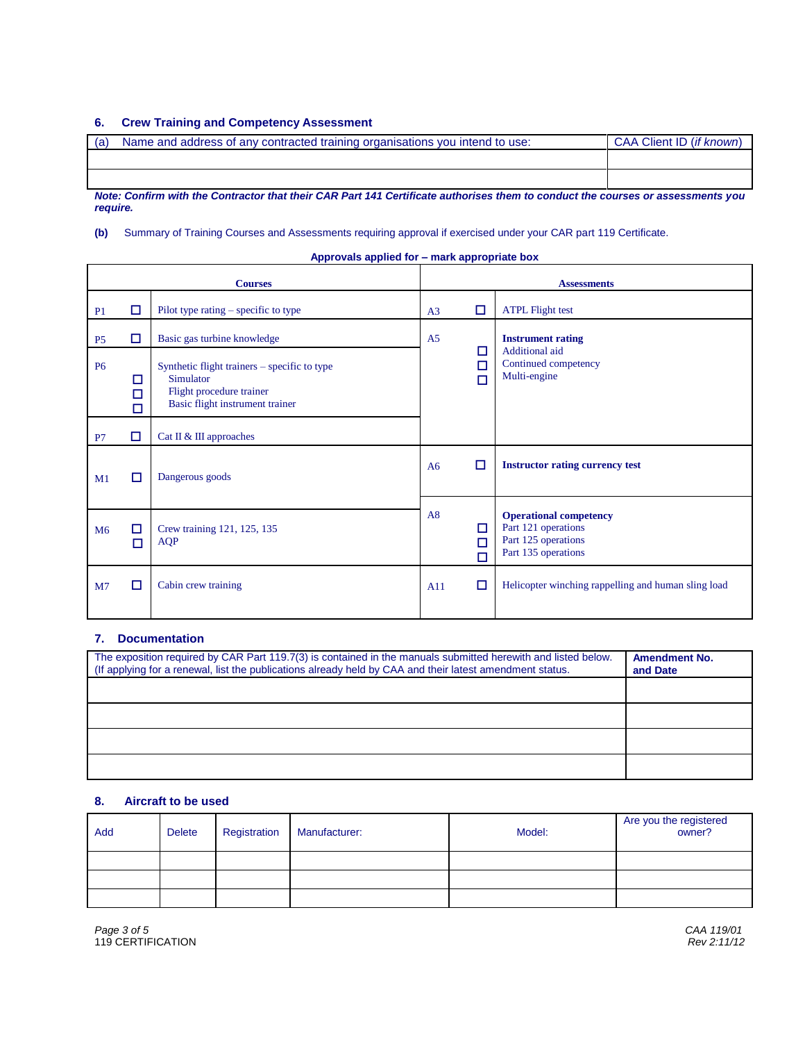## **6. Crew Training and Competency Assessment**

| (a) | Name and address of any contracted training organisations you intend to use: | CAA Client ID (if known) |
|-----|------------------------------------------------------------------------------|--------------------------|
|     |                                                                              |                          |
|     |                                                                              |                          |

*Note: Confirm with the Contractor that their CAR Part 141 Certificate authorises them to conduct the courses or assessments you require.*

**(b)** Summary of Training Courses and Assessments requiring approval if exercised under your CAR part 119 Certificate.

| Approvals applied for - mark appropriate box |  |  |
|----------------------------------------------|--|--|
|                                              |  |  |

| <b>Courses</b> |             |                                                                                                                          |                |             | <b>Assessments</b>                                                                                 |   |                                                        |
|----------------|-------------|--------------------------------------------------------------------------------------------------------------------------|----------------|-------------|----------------------------------------------------------------------------------------------------|---|--------------------------------------------------------|
| P <sub>1</sub> | □           | Pilot type rating $-$ specific to type                                                                                   | A <sub>3</sub> | □           | <b>ATPL Flight test</b>                                                                            |   |                                                        |
| P <sub>5</sub> | □           | Basic gas turbine knowledge                                                                                              | A <sub>5</sub> |             | <b>Instrument rating</b>                                                                           |   |                                                        |
| <b>P6</b>      | □<br>□<br>п | Synthetic flight trainers – specific to type<br>Simulator<br>Flight procedure trainer<br>Basic flight instrument trainer | П<br>П         |             |                                                                                                    | П | Additional aid<br>Continued competency<br>Multi-engine |
| P7             | □           | Cat II & III approaches                                                                                                  |                |             |                                                                                                    |   |                                                        |
| M <sub>1</sub> | □           | Dangerous goods                                                                                                          | A6             | □           | <b>Instructor rating currency test</b>                                                             |   |                                                        |
| M <sub>6</sub> | □<br>□      | Crew training 121, 125, 135<br><b>AQP</b>                                                                                | A8             | □<br>□<br>п | <b>Operational competency</b><br>Part 121 operations<br>Part 125 operations<br>Part 135 operations |   |                                                        |
| M <sub>7</sub> | □           | Cabin crew training                                                                                                      | A11            | □           | Helicopter winching rappelling and human sling load                                                |   |                                                        |

### **7. Documentation**

| The exposition required by CAR Part 119.7(3) is contained in the manuals submitted herewith and listed below.<br>(If applying for a renewal, list the publications already held by CAA and their latest amendment status. | <b>Amendment No.</b><br>and Date |
|---------------------------------------------------------------------------------------------------------------------------------------------------------------------------------------------------------------------------|----------------------------------|
|                                                                                                                                                                                                                           |                                  |
|                                                                                                                                                                                                                           |                                  |
|                                                                                                                                                                                                                           |                                  |
|                                                                                                                                                                                                                           |                                  |

#### **8. Aircraft to be used**

| Add | <b>Delete</b> | Registration | Manufacturer: | Model: | Are you the registered<br>owner? |
|-----|---------------|--------------|---------------|--------|----------------------------------|
|     |               |              |               |        |                                  |
|     |               |              |               |        |                                  |
|     |               |              |               |        |                                  |

*Page 3 of 5 CAA 119/01* Page 3 of 5 CAA 119/01<br>119 CERTIFICATION **Rev 2:11/12**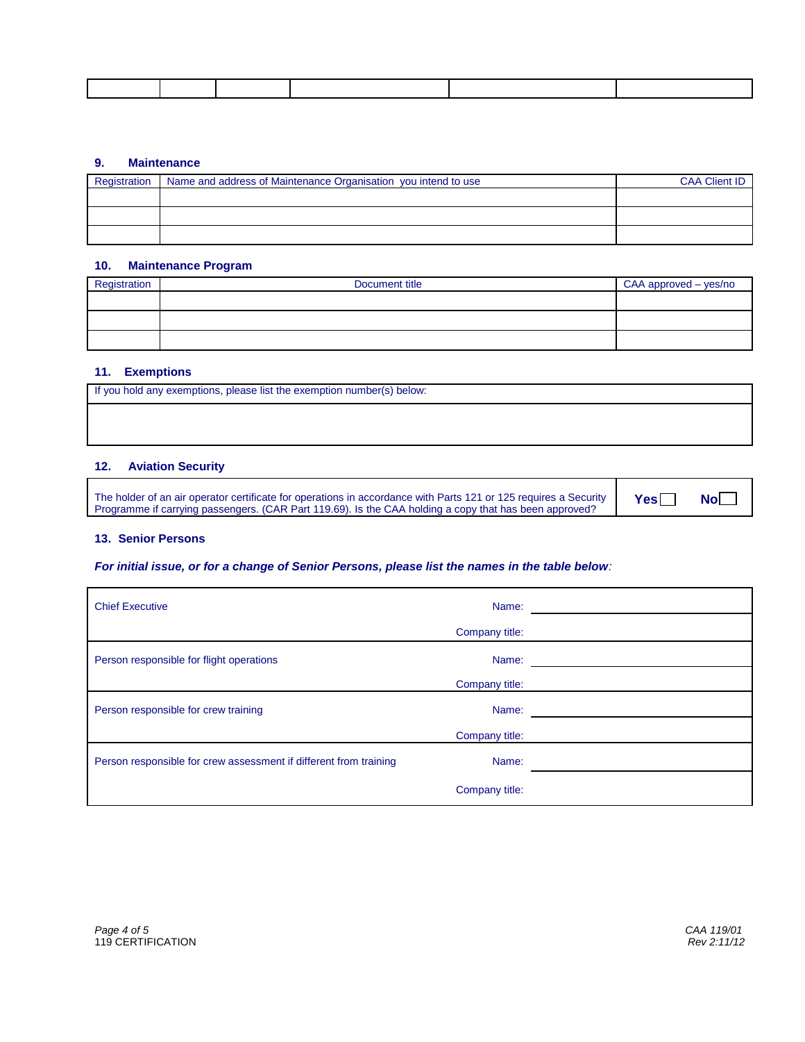#### **9. Maintenance**

| Registration | Name and address of Maintenance Organisation you intend to use | <b>CAA Client ID</b> |
|--------------|----------------------------------------------------------------|----------------------|
|              |                                                                |                      |
|              |                                                                |                      |
|              |                                                                |                      |
|              |                                                                |                      |
|              |                                                                |                      |
|              |                                                                |                      |

#### **10. Maintenance Program**

| Registration | Document title | CAA approved - yes/no |
|--------------|----------------|-----------------------|
|              |                |                       |
|              |                |                       |
|              |                |                       |

#### **11. Exemptions**

| If you hold any exemptions, please list the exemption number(s) below: |
|------------------------------------------------------------------------|
|                                                                        |
|                                                                        |

## **12. Aviation Security**

The holder of an air operator certificate for operations in accordance with Parts 121 or 125 requires a Security Programme if carrying passengers. (CAR Part 119.69). Is the CAA holding a copy that has been approved?

**Yes□ No** 

#### **13. Senior Persons**

#### *For initial issue, or for a change of Senior Persons, please list the names in the table below:*

| <b>Chief Executive</b>                                            | Name:          |  |
|-------------------------------------------------------------------|----------------|--|
|                                                                   | Company title: |  |
| Person responsible for flight operations                          | Name:          |  |
|                                                                   | Company title: |  |
| Person responsible for crew training                              | Name:          |  |
|                                                                   | Company title: |  |
| Person responsible for crew assessment if different from training | Name:          |  |
|                                                                   | Company title: |  |